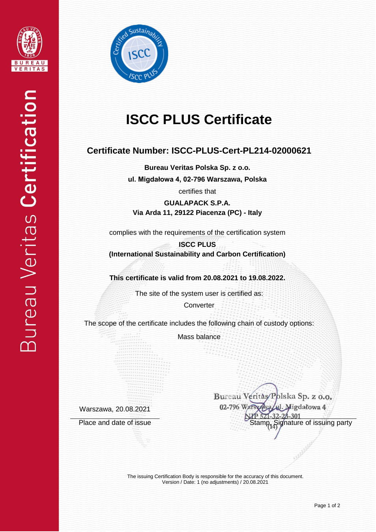



# **ISCC PLUS Certificate**

## **Certificate Number: ISCC-PLUS-Cert-PL214-02000621**

**Bureau Veritas Polska Sp. z o.o. ul. Migdałowa 4, 02-796 Warszawa, Polska**

certifies that

**GUALAPACK S.P.A. Via Arda 11, 29122 Piacenza (PC) - Italy**

complies with the requirements of the certification system

**ISCC PLUS (International Sustainability and Carbon Certification)**

**This certificate is valid from 20.08.2021 to 19.08.2022.**

The site of the system user is certified as:

**Converter** 

The scope of the certificate includes the following chain of custody options:

Mass balance

Warszawa, 20.08.2021

Bureau Veritàs/Polska Sp. z o.o. 02-796 Warsza Migdałowa 4 Place and date of issue Stamp, Signature of issuing party

> The issuing Certification Body is responsible for the accuracy of this document. Version / Date: 1 (no adjustments) / 20.08.2021